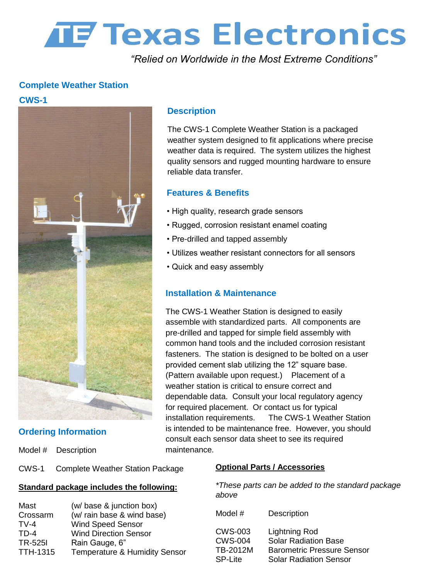# **THE TEXAS Electronics**

*"Relied on Worldwide in the Most Extreme Conditions"*

## **Complete Weather Station**

### **CWS-1**



## **Ordering Information**

Model # Description

#### CWS-1 Complete Weather Station Package

#### **Standard package includes the following:**

| Mast            | (w/ base & junction box)                 |
|-----------------|------------------------------------------|
| Crossarm        | (w/ rain base & wind base)               |
| $TV-4$          | <b>Wind Speed Sensor</b>                 |
| $TD-4$          | <b>Wind Direction Sensor</b>             |
| <b>TR-525I</b>  | Rain Gauge, 6"                           |
| <b>TTH-1315</b> | <b>Temperature &amp; Humidity Sensor</b> |

#### **Description**

The CWS-1 Complete Weather Station is a packaged weather system designed to fit applications where precise weather data is required. The system utilizes the highest quality sensors and rugged mounting hardware to ensure reliable data transfer.

#### **Features & Benefits**

- High quality, research grade sensors
- Rugged, corrosion resistant enamel coating
- Pre-drilled and tapped assembly
- Utilizes weather resistant connectors for all sensors
- Quick and easy assembly

#### **Installation & Maintenance**

The CWS-1 Weather Station is designed to easily assemble with standardized parts. All components are pre-drilled and tapped for simple field assembly with common hand tools and the included corrosion resistant fasteners. The station is designed to be bolted on a user provided cement slab utilizing the 12" square base. (Pattern available upon request.) Placement of a weather station is critical to ensure correct and dependable data. Consult your local regulatory agency for required placement. Or contact us for typical installation requirements. The CWS-1 Weather Station is intended to be maintenance free. However, you should consult each sensor data sheet to see its required maintenance.

#### **Optional Parts / Accessories**

*\*These parts can be added to the standard package above*

| Model #        | Description                       |
|----------------|-----------------------------------|
| CWS-003        | <b>Lightning Rod</b>              |
| <b>CWS-004</b> | <b>Solar Radiation Base</b>       |
| TB-2012M       | <b>Barometric Pressure Sensor</b> |
| <b>SP-Lite</b> | <b>Solar Radiation Sensor</b>     |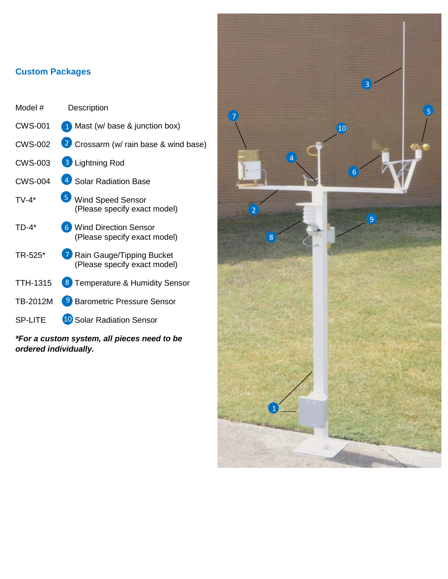# **Custom Packages**

| Model #                                                              | Description                                                                   |  |
|----------------------------------------------------------------------|-------------------------------------------------------------------------------|--|
| <b>CWS-001</b>                                                       | 1 Mast (w/ base & junction box)                                               |  |
| <b>CWS-002</b>                                                       | 2 Crossarm (w/ rain base & wind base)                                         |  |
| <b>CWS-003</b>                                                       | <b>3</b> Lightning Rod                                                        |  |
| <b>CWS-004</b>                                                       | 4 Solar Radiation Base                                                        |  |
| $TV-4*$                                                              | $\vert 5 \rangle$<br><b>Wind Speed Sensor</b><br>(Please specify exact model) |  |
| $TD-4*$                                                              | <b>6</b> Wind Direction Sensor<br>(Please specify exact model)                |  |
| TR-525*                                                              | 7 Rain Gauge/Tipping Bucket<br>(Please specify exact model)                   |  |
| <b>TTH-1315</b>                                                      | 8 Temperature & Humidity Sensor                                               |  |
| TB-2012M                                                             | <sup>9</sup> Barometric Pressure Sensor                                       |  |
| <b>SP-LITE</b>                                                       | <b>10 Solar Radiation Sensor</b>                                              |  |
| *For a custom system, all pieces need to be<br>ordered individually. |                                                                               |  |

*\*For a custom system, all pieces need to be*